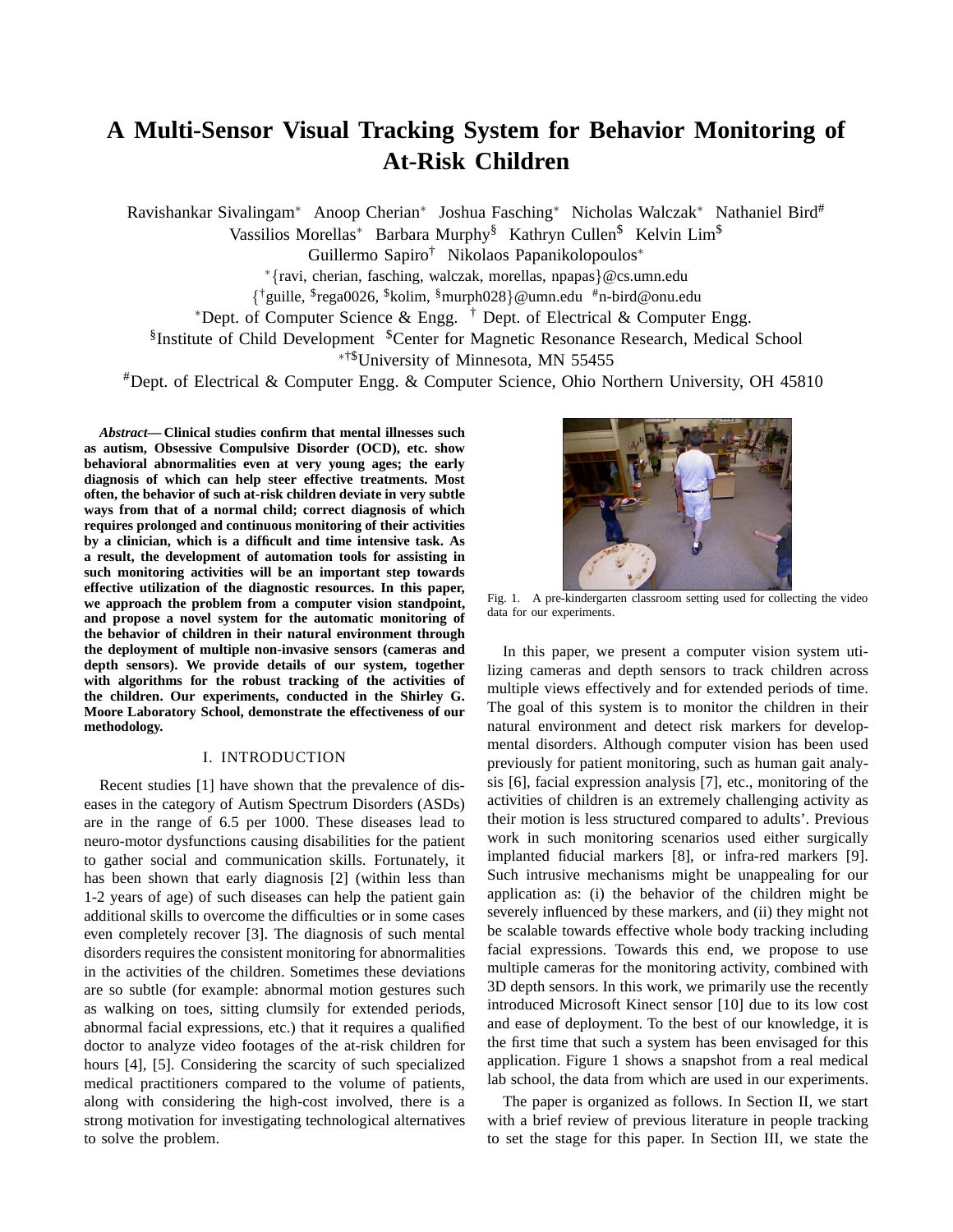# **A Multi-Sensor Visual Tracking System for Behavior Monitoring of At-Risk Children**

Ravishankar Sivalingam<sup>∗</sup> Anoop Cherian<sup>∗</sup> Joshua Fasching<sup>∗</sup> Nicholas Walczak<sup>∗</sup> Nathaniel Bird<sup>#</sup>

Vassilios Morellas<sup>∗</sup> Barbara Murphy§ Kathryn Cullen\$ Kelvin Lim\$

Guillermo Sapiro† Nikolaos Papanikolopoulos<sup>∗</sup>

<sup>∗</sup>{ravi, cherian, fasching, walczak, morellas, npapas}@cs.umn.edu

{ †guille, \$ rega0026, \$kolim, §murph028}@umn.edu #n-bird@onu.edu

\*Dept. of Computer Science & Engg. † Dept. of Electrical & Computer Engg.

<sup>§</sup>Institute of Child Development <sup>\$</sup>Center for Magnetic Resonance Research, Medical School

<sup>∗</sup>†\$University of Minnesota, MN 55455

#Dept. of Electrical & Computer Engg. & Computer Science, Ohio Northern University, OH 45810

*Abstract***— Clinical studies confirm that mental illnesses such as autism, Obsessive Compulsive Disorder (OCD), etc. show behavioral abnormalities even at very young ages; the early diagnosis of which can help steer effective treatments. Most often, the behavior of such at-risk children deviate in very subtle ways from that of a normal child; correct diagnosis of which requires prolonged and continuous monitoring of their activities by a clinician, which is a difficult and time intensive task. As a result, the development of automation tools for assisting in such monitoring activities will be an important step towards effective utilization of the diagnostic resources. In this paper, we approach the problem from a computer vision standpoint, and propose a novel system for the automatic monitoring of the behavior of children in their natural environment through the deployment of multiple non-invasive sensors (cameras and depth sensors). We provide details of our system, together with algorithms for the robust tracking of the activities of the children. Our experiments, conducted in the Shirley G. Moore Laboratory School, demonstrate the effectiveness of our methodology.**

# I. INTRODUCTION

Recent studies [1] have shown that the prevalence of diseases in the category of Autism Spectrum Disorders (ASDs) are in the range of 6.5 per 1000. These diseases lead to neuro-motor dysfunctions causing disabilities for the patient to gather social and communication skills. Fortunately, it has been shown that early diagnosis [2] (within less than 1-2 years of age) of such diseases can help the patient gain additional skills to overcome the difficulties or in some cases even completely recover [3]. The diagnosis of such mental disorders requires the consistent monitoring for abnormalities in the activities of the children. Sometimes these deviations are so subtle (for example: abnormal motion gestures such as walking on toes, sitting clumsily for extended periods, abnormal facial expressions, etc.) that it requires a qualified doctor to analyze video footages of the at-risk children for hours [4], [5]. Considering the scarcity of such specialized medical practitioners compared to the volume of patients, along with considering the high-cost involved, there is a strong motivation for investigating technological alternatives to solve the problem.



Fig. 1. A pre-kindergarten classroom setting used for collecting the video data for our experiments.

In this paper, we present a computer vision system utilizing cameras and depth sensors to track children across multiple views effectively and for extended periods of time. The goal of this system is to monitor the children in their natural environment and detect risk markers for developmental disorders. Although computer vision has been used previously for patient monitoring, such as human gait analysis [6], facial expression analysis [7], etc., monitoring of the activities of children is an extremely challenging activity as their motion is less structured compared to adults'. Previous work in such monitoring scenarios used either surgically implanted fiducial markers [8], or infra-red markers [9]. Such intrusive mechanisms might be unappealing for our application as: (i) the behavior of the children might be severely influenced by these markers, and (ii) they might not be scalable towards effective whole body tracking including facial expressions. Towards this end, we propose to use multiple cameras for the monitoring activity, combined with 3D depth sensors. In this work, we primarily use the recently introduced Microsoft Kinect sensor [10] due to its low cost and ease of deployment. To the best of our knowledge, it is the first time that such a system has been envisaged for this application. Figure 1 shows a snapshot from a real medical lab school, the data from which are used in our experiments.

The paper is organized as follows. In Section II, we start with a brief review of previous literature in people tracking to set the stage for this paper. In Section III, we state the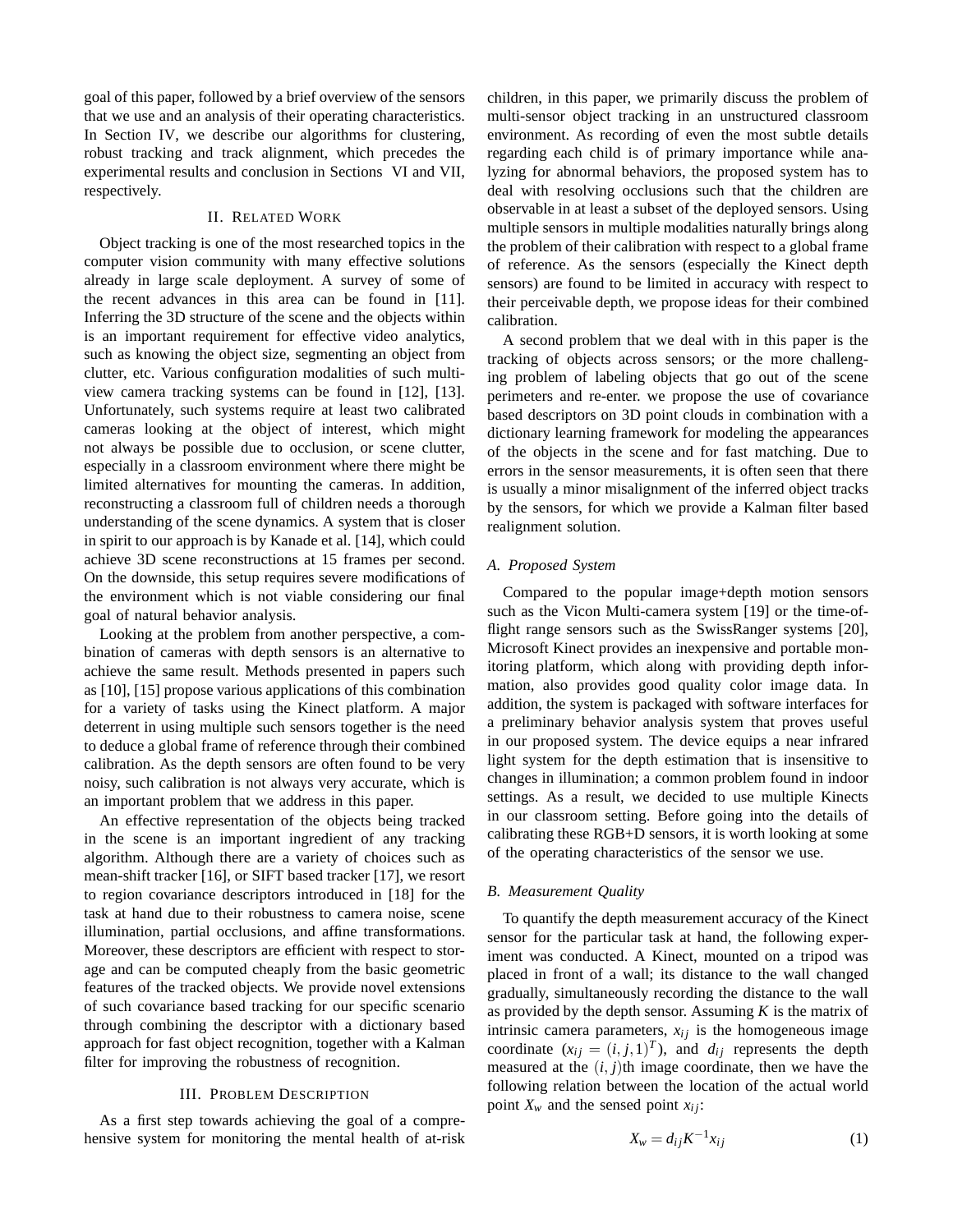goal of this paper, followed by a brief overview of the sensors that we use and an analysis of their operating characteristics. In Section IV, we describe our algorithms for clustering, robust tracking and track alignment, which precedes the experimental results and conclusion in Sections VI and VII, respectively.

# II. RELATED WORK

Object tracking is one of the most researched topics in the computer vision community with many effective solutions already in large scale deployment. A survey of some of the recent advances in this area can be found in [11]. Inferring the 3D structure of the scene and the objects within is an important requirement for effective video analytics, such as knowing the object size, segmenting an object from clutter, etc. Various configuration modalities of such multiview camera tracking systems can be found in [12], [13]. Unfortunately, such systems require at least two calibrated cameras looking at the object of interest, which might not always be possible due to occlusion, or scene clutter, especially in a classroom environment where there might be limited alternatives for mounting the cameras. In addition, reconstructing a classroom full of children needs a thorough understanding of the scene dynamics. A system that is closer in spirit to our approach is by Kanade et al. [14], which could achieve 3D scene reconstructions at 15 frames per second. On the downside, this setup requires severe modifications of the environment which is not viable considering our final goal of natural behavior analysis.

Looking at the problem from another perspective, a combination of cameras with depth sensors is an alternative to achieve the same result. Methods presented in papers such as [10], [15] propose various applications of this combination for a variety of tasks using the Kinect platform. A major deterrent in using multiple such sensors together is the need to deduce a global frame of reference through their combined calibration. As the depth sensors are often found to be very noisy, such calibration is not always very accurate, which is an important problem that we address in this paper.

An effective representation of the objects being tracked in the scene is an important ingredient of any tracking algorithm. Although there are a variety of choices such as mean-shift tracker [16], or SIFT based tracker [17], we resort to region covariance descriptors introduced in [18] for the task at hand due to their robustness to camera noise, scene illumination, partial occlusions, and affine transformations. Moreover, these descriptors are efficient with respect to storage and can be computed cheaply from the basic geometric features of the tracked objects. We provide novel extensions of such covariance based tracking for our specific scenario through combining the descriptor with a dictionary based approach for fast object recognition, together with a Kalman filter for improving the robustness of recognition.

## III. PROBLEM DESCRIPTION

As a first step towards achieving the goal of a comprehensive system for monitoring the mental health of at-risk children, in this paper, we primarily discuss the problem of multi-sensor object tracking in an unstructured classroom environment. As recording of even the most subtle details regarding each child is of primary importance while analyzing for abnormal behaviors, the proposed system has to deal with resolving occlusions such that the children are observable in at least a subset of the deployed sensors. Using multiple sensors in multiple modalities naturally brings along the problem of their calibration with respect to a global frame of reference. As the sensors (especially the Kinect depth sensors) are found to be limited in accuracy with respect to their perceivable depth, we propose ideas for their combined calibration.

A second problem that we deal with in this paper is the tracking of objects across sensors; or the more challenging problem of labeling objects that go out of the scene perimeters and re-enter. we propose the use of covariance based descriptors on 3D point clouds in combination with a dictionary learning framework for modeling the appearances of the objects in the scene and for fast matching. Due to errors in the sensor measurements, it is often seen that there is usually a minor misalignment of the inferred object tracks by the sensors, for which we provide a Kalman filter based realignment solution.

## *A. Proposed System*

Compared to the popular image+depth motion sensors such as the Vicon Multi-camera system [19] or the time-offlight range sensors such as the SwissRanger systems [20], Microsoft Kinect provides an inexpensive and portable monitoring platform, which along with providing depth information, also provides good quality color image data. In addition, the system is packaged with software interfaces for a preliminary behavior analysis system that proves useful in our proposed system. The device equips a near infrared light system for the depth estimation that is insensitive to changes in illumination; a common problem found in indoor settings. As a result, we decided to use multiple Kinects in our classroom setting. Before going into the details of calibrating these RGB+D sensors, it is worth looking at some of the operating characteristics of the sensor we use.

# *B. Measurement Quality*

To quantify the depth measurement accuracy of the Kinect sensor for the particular task at hand, the following experiment was conducted. A Kinect, mounted on a tripod was placed in front of a wall; its distance to the wall changed gradually, simultaneously recording the distance to the wall as provided by the depth sensor. Assuming *K* is the matrix of intrinsic camera parameters,  $x_{ij}$  is the homogeneous image coordinate  $(x_{ij} = (i, j, 1)^T)$ , and  $d_{ij}$  represents the depth measured at the  $(i, j)$ th image coordinate, then we have the following relation between the location of the actual world point  $X_w$  and the sensed point  $x_{ij}$ :

$$
X_w = d_{ij} K^{-1} x_{ij} \tag{1}
$$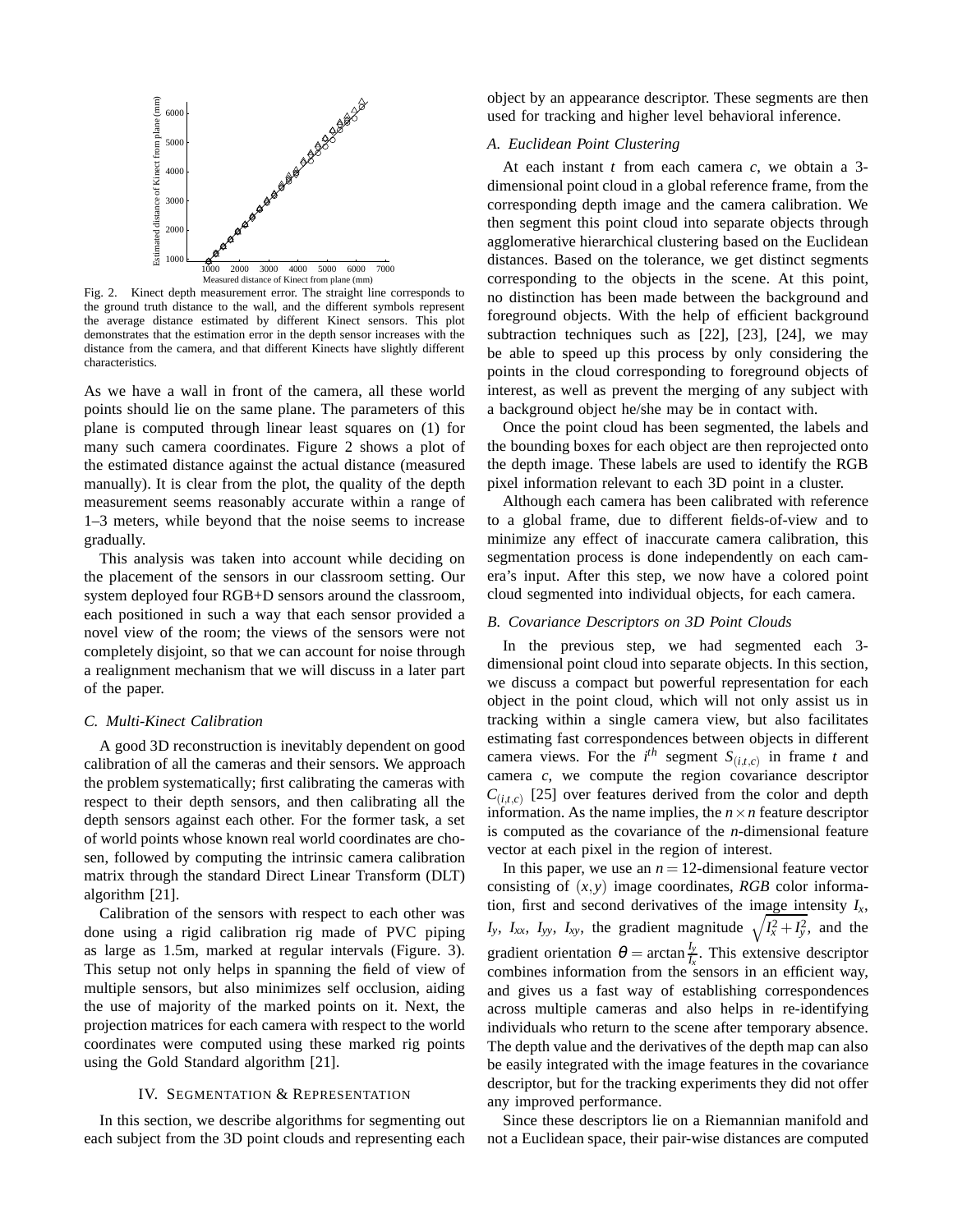

Fig. 2. Kinect depth measurement error. The straight line corresponds to the ground truth distance to the wall, and the different symbols represent the average distance estimated by different Kinect sensors. This plot demonstrates that the estimation error in the depth sensor increases with the distance from the camera, and that different Kinects have slightly different characteristics.

As we have a wall in front of the camera, all these world points should lie on the same plane. The parameters of this plane is computed through linear least squares on (1) for many such camera coordinates. Figure 2 shows a plot of the estimated distance against the actual distance (measured manually). It is clear from the plot, the quality of the depth measurement seems reasonably accurate within a range of 1–3 meters, while beyond that the noise seems to increase gradually.

This analysis was taken into account while deciding on the placement of the sensors in our classroom setting. Our system deployed four RGB+D sensors around the classroom, each positioned in such a way that each sensor provided a novel view of the room; the views of the sensors were not completely disjoint, so that we can account for noise through a realignment mechanism that we will discuss in a later part of the paper.

#### *C. Multi-Kinect Calibration*

A good 3D reconstruction is inevitably dependent on good calibration of all the cameras and their sensors. We approach the problem systematically; first calibrating the cameras with respect to their depth sensors, and then calibrating all the depth sensors against each other. For the former task, a set of world points whose known real world coordinates are chosen, followed by computing the intrinsic camera calibration matrix through the standard Direct Linear Transform (DLT) algorithm [21].

Calibration of the sensors with respect to each other was done using a rigid calibration rig made of PVC piping as large as 1.5m, marked at regular intervals (Figure. 3). This setup not only helps in spanning the field of view of multiple sensors, but also minimizes self occlusion, aiding the use of majority of the marked points on it. Next, the projection matrices for each camera with respect to the world coordinates were computed using these marked rig points using the Gold Standard algorithm [21].

## IV. SEGMENTATION & REPRESENTATION

In this section, we describe algorithms for segmenting out each subject from the 3D point clouds and representing each object by an appearance descriptor. These segments are then used for tracking and higher level behavioral inference.

# *A. Euclidean Point Clustering*

At each instant *t* from each camera *c*, we obtain a 3 dimensional point cloud in a global reference frame, from the corresponding depth image and the camera calibration. We then segment this point cloud into separate objects through agglomerative hierarchical clustering based on the Euclidean distances. Based on the tolerance, we get distinct segments corresponding to the objects in the scene. At this point, no distinction has been made between the background and foreground objects. With the help of efficient background subtraction techniques such as [22], [23], [24], we may be able to speed up this process by only considering the points in the cloud corresponding to foreground objects of interest, as well as prevent the merging of any subject with a background object he/she may be in contact with.

Once the point cloud has been segmented, the labels and the bounding boxes for each object are then reprojected onto the depth image. These labels are used to identify the RGB pixel information relevant to each 3D point in a cluster.

Although each camera has been calibrated with reference to a global frame, due to different fields-of-view and to minimize any effect of inaccurate camera calibration, this segmentation process is done independently on each camera's input. After this step, we now have a colored point cloud segmented into individual objects, for each camera.

# *B. Covariance Descriptors on 3D Point Clouds*

In the previous step, we had segmented each 3 dimensional point cloud into separate objects. In this section, we discuss a compact but powerful representation for each object in the point cloud, which will not only assist us in tracking within a single camera view, but also facilitates estimating fast correspondences between objects in different camera views. For the  $i^{th}$  segment  $S_{(i,t,c)}$  in frame *t* and camera *c*, we compute the region covariance descriptor  $C_{(i,t,c)}$  [25] over features derived from the color and depth information. As the name implies, the  $n \times n$  feature descriptor is computed as the covariance of the *n*-dimensional feature vector at each pixel in the region of interest.

In this paper, we use an  $n = 12$ -dimensional feature vector consisting of (*x*,*y*) image coordinates, *RGB* color information, first and second derivatives of the image intensity *Ix*, *I<sub>y</sub>*, *I<sub>xx</sub>*, *I<sub>xy</sub>*, the gradient magnitude  $\sqrt{I_x^2 + I_y^2}$ , and the gradient orientation  $\theta = \arctan \frac{I_y}{I_x}$ . This extensive descriptor combines information from the sensors in an efficient way, and gives us a fast way of establishing correspondences across multiple cameras and also helps in re-identifying individuals who return to the scene after temporary absence. The depth value and the derivatives of the depth map can also be easily integrated with the image features in the covariance descriptor, but for the tracking experiments they did not offer any improved performance.

Since these descriptors lie on a Riemannian manifold and not a Euclidean space, their pair-wise distances are computed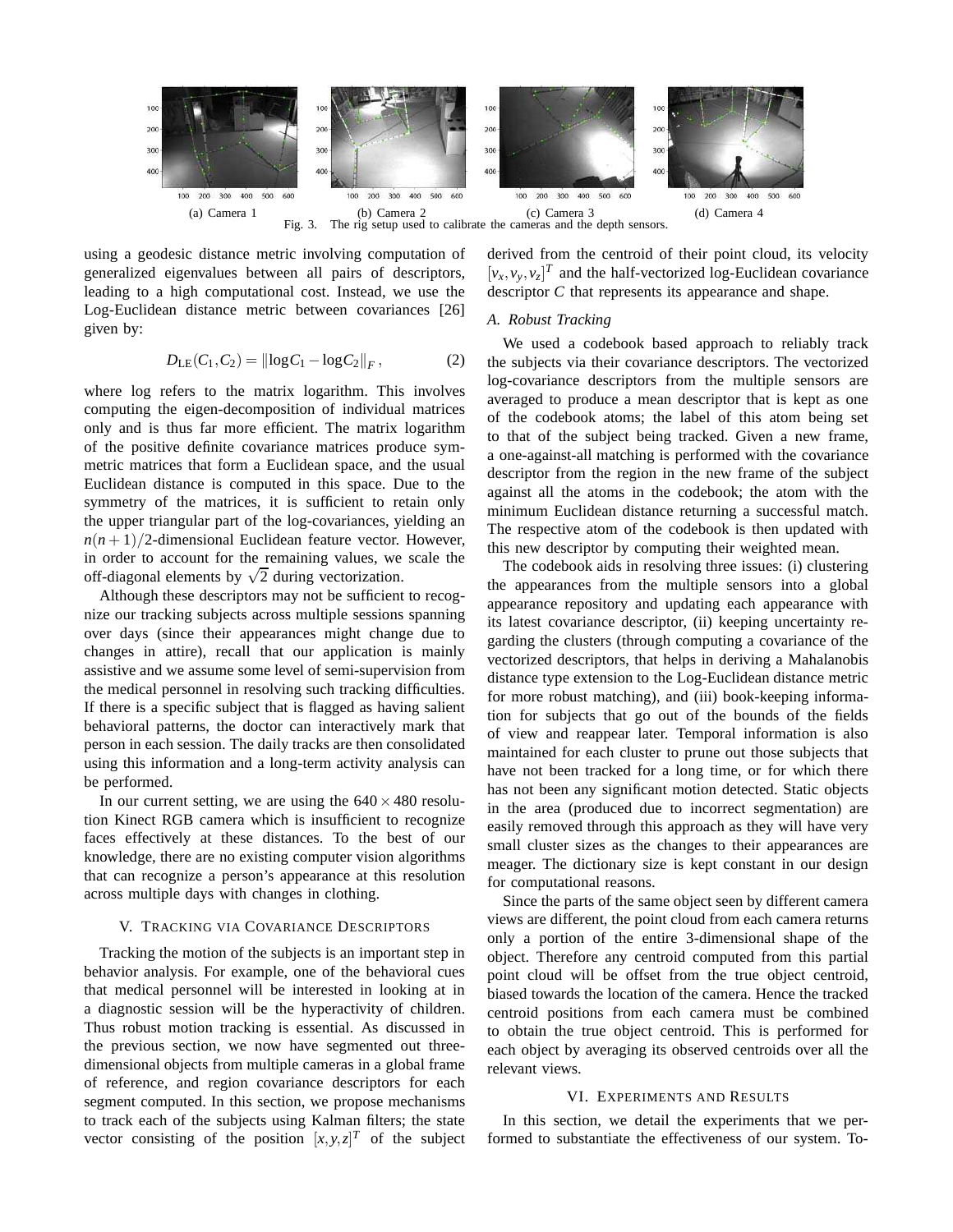

using a geodesic distance metric involving computation of generalized eigenvalues between all pairs of descriptors, leading to a high computational cost. Instead, we use the Log-Euclidean distance metric between covariances [26] given by:

$$
D_{\rm LE}(C_1, C_2) = ||\log C_1 - \log C_2||_F, \tag{2}
$$

where log refers to the matrix logarithm. This involves computing the eigen-decomposition of individual matrices only and is thus far more efficient. The matrix logarithm of the positive definite covariance matrices produce symmetric matrices that form a Euclidean space, and the usual Euclidean distance is computed in this space. Due to the symmetry of the matrices, it is sufficient to retain only the upper triangular part of the log-covariances, yielding an  $n(n+1)/2$ -dimensional Euclidean feature vector. However, in order to account for the remaining values, we scale the off-diagonal elements by  $\sqrt{2}$  during vectorization.

Although these descriptors may not be sufficient to recognize our tracking subjects across multiple sessions spanning over days (since their appearances might change due to changes in attire), recall that our application is mainly assistive and we assume some level of semi-supervision from the medical personnel in resolving such tracking difficulties. If there is a specific subject that is flagged as having salient behavioral patterns, the doctor can interactively mark that person in each session. The daily tracks are then consolidated using this information and a long-term activity analysis can be performed.

In our current setting, we are using the  $640 \times 480$  resolution Kinect RGB camera which is insufficient to recognize faces effectively at these distances. To the best of our knowledge, there are no existing computer vision algorithms that can recognize a person's appearance at this resolution across multiple days with changes in clothing.

#### V. TRACKING VIA COVARIANCE DESCRIPTORS

Tracking the motion of the subjects is an important step in behavior analysis. For example, one of the behavioral cues that medical personnel will be interested in looking at in a diagnostic session will be the hyperactivity of children. Thus robust motion tracking is essential. As discussed in the previous section, we now have segmented out threedimensional objects from multiple cameras in a global frame of reference, and region covariance descriptors for each segment computed. In this section, we propose mechanisms to track each of the subjects using Kalman filters; the state vector consisting of the position  $[x, y, z]^T$  of the subject

derived from the centroid of their point cloud, its velocity  $[v_x, v_y, v_z]^T$  and the half-vectorized log-Euclidean covariance descriptor *C* that represents its appearance and shape.

# *A. Robust Tracking*

We used a codebook based approach to reliably track the subjects via their covariance descriptors. The vectorized log-covariance descriptors from the multiple sensors are averaged to produce a mean descriptor that is kept as one of the codebook atoms; the label of this atom being set to that of the subject being tracked. Given a new frame, a one-against-all matching is performed with the covariance descriptor from the region in the new frame of the subject against all the atoms in the codebook; the atom with the minimum Euclidean distance returning a successful match. The respective atom of the codebook is then updated with this new descriptor by computing their weighted mean.

The codebook aids in resolving three issues: (i) clustering the appearances from the multiple sensors into a global appearance repository and updating each appearance with its latest covariance descriptor, (ii) keeping uncertainty regarding the clusters (through computing a covariance of the vectorized descriptors, that helps in deriving a Mahalanobis distance type extension to the Log-Euclidean distance metric for more robust matching), and (iii) book-keeping information for subjects that go out of the bounds of the fields of view and reappear later. Temporal information is also maintained for each cluster to prune out those subjects that have not been tracked for a long time, or for which there has not been any significant motion detected. Static objects in the area (produced due to incorrect segmentation) are easily removed through this approach as they will have very small cluster sizes as the changes to their appearances are meager. The dictionary size is kept constant in our design for computational reasons.

Since the parts of the same object seen by different camera views are different, the point cloud from each camera returns only a portion of the entire 3-dimensional shape of the object. Therefore any centroid computed from this partial point cloud will be offset from the true object centroid, biased towards the location of the camera. Hence the tracked centroid positions from each camera must be combined to obtain the true object centroid. This is performed for each object by averaging its observed centroids over all the relevant views.

# VI. EXPERIMENTS AND RESULTS

In this section, we detail the experiments that we performed to substantiate the effectiveness of our system. To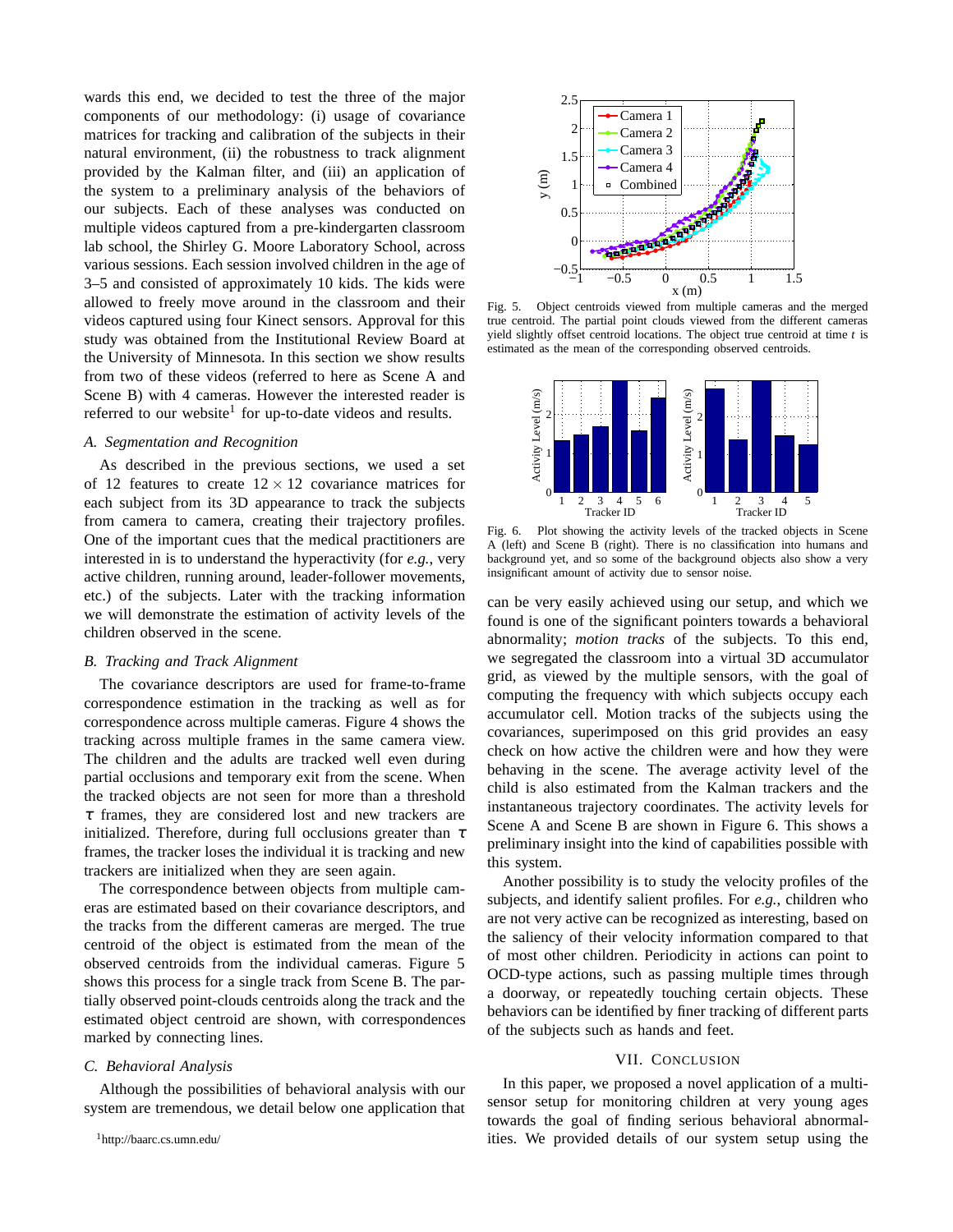wards this end, we decided to test the three of the major components of our methodology: (i) usage of covariance matrices for tracking and calibration of the subjects in their natural environment, (ii) the robustness to track alignment provided by the Kalman filter, and (iii) an application of the system to a preliminary analysis of the behaviors of our subjects. Each of these analyses was conducted on multiple videos captured from a pre-kindergarten classroom lab school, the Shirley G. Moore Laboratory School, across various sessions. Each session involved children in the age of 3–5 and consisted of approximately 10 kids. The kids were allowed to freely move around in the classroom and their videos captured using four Kinect sensors. Approval for this study was obtained from the Institutional Review Board at the University of Minnesota. In this section we show results from two of these videos (referred to here as Scene A and Scene B) with 4 cameras. However the interested reader is referred to our website<sup>1</sup> for up-to-date videos and results.

## *A. Segmentation and Recognition*

As described in the previous sections, we used a set of 12 features to create  $12 \times 12$  covariance matrices for each subject from its 3D appearance to track the subjects from camera to camera, creating their trajectory profiles. One of the important cues that the medical practitioners are interested in is to understand the hyperactivity (for *e.g.*, very active children, running around, leader-follower movements, etc.) of the subjects. Later with the tracking information we will demonstrate the estimation of activity levels of the children observed in the scene.

# *B. Tracking and Track Alignment*

The covariance descriptors are used for frame-to-frame correspondence estimation in the tracking as well as for correspondence across multiple cameras. Figure 4 shows the tracking across multiple frames in the same camera view. The children and the adults are tracked well even during partial occlusions and temporary exit from the scene. When the tracked objects are not seen for more than a threshold  $\tau$  frames, they are considered lost and new trackers are initialized. Therefore, during full occlusions greater than  $\tau$ frames, the tracker loses the individual it is tracking and new trackers are initialized when they are seen again.

The correspondence between objects from multiple cameras are estimated based on their covariance descriptors, and the tracks from the different cameras are merged. The true centroid of the object is estimated from the mean of the observed centroids from the individual cameras. Figure 5 shows this process for a single track from Scene B. The partially observed point-clouds centroids along the track and the estimated object centroid are shown, with correspondences marked by connecting lines.

## *C. Behavioral Analysis*

Although the possibilities of behavioral analysis with our system are tremendous, we detail below one application that



Fig. 5. Object centroids viewed from multiple cameras and the merged true centroid. The partial point clouds viewed from the different cameras yield slightly offset centroid locations. The object true centroid at time *t* is estimated as the mean of the corresponding observed centroids.



Fig. 6. Plot showing the activity levels of the tracked objects in Scene A (left) and Scene B (right). There is no classification into humans and background yet, and so some of the background objects also show a very insignificant amount of activity due to sensor noise.

can be very easily achieved using our setup, and which we found is one of the significant pointers towards a behavioral abnormality; *motion tracks* of the subjects. To this end, we segregated the classroom into a virtual 3D accumulator grid, as viewed by the multiple sensors, with the goal of computing the frequency with which subjects occupy each accumulator cell. Motion tracks of the subjects using the covariances, superimposed on this grid provides an easy check on how active the children were and how they were behaving in the scene. The average activity level of the child is also estimated from the Kalman trackers and the instantaneous trajectory coordinates. The activity levels for Scene A and Scene B are shown in Figure 6. This shows a preliminary insight into the kind of capabilities possible with this system.

Another possibility is to study the velocity profiles of the subjects, and identify salient profiles. For *e.g.*, children who are not very active can be recognized as interesting, based on the saliency of their velocity information compared to that of most other children. Periodicity in actions can point to OCD-type actions, such as passing multiple times through a doorway, or repeatedly touching certain objects. These behaviors can be identified by finer tracking of different parts of the subjects such as hands and feet.

#### VII. CONCLUSION

In this paper, we proposed a novel application of a multisensor setup for monitoring children at very young ages towards the goal of finding serious behavioral abnormalities. We provided details of our system setup using the

<sup>1</sup>http://baarc.cs.umn.edu/